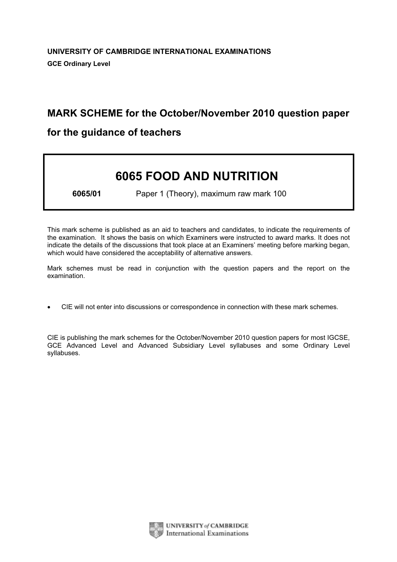# MARK SCHEME for the October/November 2010 question paper

# for the guidance of teachers

# 6065 FOOD AND NUTRITION

6065/01 Paper 1 (Theory), maximum raw mark 100

This mark scheme is published as an aid to teachers and candidates, to indicate the requirements of the examination. It shows the basis on which Examiners were instructed to award marks. It does not indicate the details of the discussions that took place at an Examiners' meeting before marking began, which would have considered the acceptability of alternative answers.

Mark schemes must be read in conjunction with the question papers and the report on the examination.

*•* CIE will not enter into discussions or correspondence in connection with these mark schemes.

CIE is publishing the mark schemes for the October/November 2010 question papers for most IGCSE, GCE Advanced Level and Advanced Subsidiary Level syllabuses and some Ordinary Level syllabuses.



UNIVERSITY of CAMBRIDGE **International Examinations**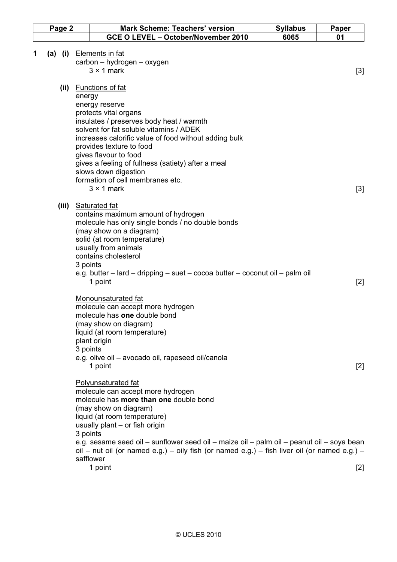| <b>Mark Scheme: Teachers' version</b>                                                                                                                                                                                                                                                                                                                                                                                    | <b>Syllabus</b>                                | Paper                                                                                                                                                                                                                                                                     |
|--------------------------------------------------------------------------------------------------------------------------------------------------------------------------------------------------------------------------------------------------------------------------------------------------------------------------------------------------------------------------------------------------------------------------|------------------------------------------------|---------------------------------------------------------------------------------------------------------------------------------------------------------------------------------------------------------------------------------------------------------------------------|
|                                                                                                                                                                                                                                                                                                                                                                                                                          | 6065                                           | 01                                                                                                                                                                                                                                                                        |
| <b>Elements in fat</b><br>carbon - hydrogen - oxygen<br>$3 \times 1$ mark                                                                                                                                                                                                                                                                                                                                                |                                                | $[3]$                                                                                                                                                                                                                                                                     |
| <b>Functions of fat</b><br>energy<br>energy reserve<br>protects vital organs<br>insulates / preserves body heat / warmth<br>solvent for fat soluble vitamins / ADEK<br>increases calorific value of food without adding bulk<br>provides texture to food<br>gives flavour to food<br>gives a feeling of fullness (satiety) after a meal<br>slows down digestion<br>formation of cell membranes etc.<br>$3 \times 1$ mark |                                                | $[3]$                                                                                                                                                                                                                                                                     |
| <b>Saturated fat</b><br>contains maximum amount of hydrogen<br>molecule has only single bonds / no double bonds<br>(may show on a diagram)<br>solid (at room temperature)<br>usually from animals<br>contains cholesterol<br>3 points                                                                                                                                                                                    |                                                | $[2]$                                                                                                                                                                                                                                                                     |
| <b>Monounsaturated fat</b><br>molecule can accept more hydrogen<br>molecule has one double bond<br>(may show on diagram)<br>liquid (at room temperature)<br>plant origin<br>3 points<br>e.g. olive oil - avocado oil, rapeseed oil/canola<br>1 point                                                                                                                                                                     |                                                | $[2]$                                                                                                                                                                                                                                                                     |
| <b>Polyunsaturated fat</b><br>molecule can accept more hydrogen<br>molecule has more than one double bond<br>(may show on diagram)<br>liquid (at room temperature)<br>usually plant - or fish origin<br>3 points<br>safflower<br>1 point                                                                                                                                                                                 |                                                | $[2]$                                                                                                                                                                                                                                                                     |
|                                                                                                                                                                                                                                                                                                                                                                                                                          | GCE O LEVEL - October/November 2010<br>1 point | e.g. butter – lard – dripping – suet – cocoa butter – coconut oil – palm oil<br>e.g. sesame seed oil – sunflower seed oil – maize oil – palm oil – peanut oil – soya bean<br>oil – nut oil (or named e.g.) – oily fish (or named e.g.) – fish liver oil (or named e.g.) – |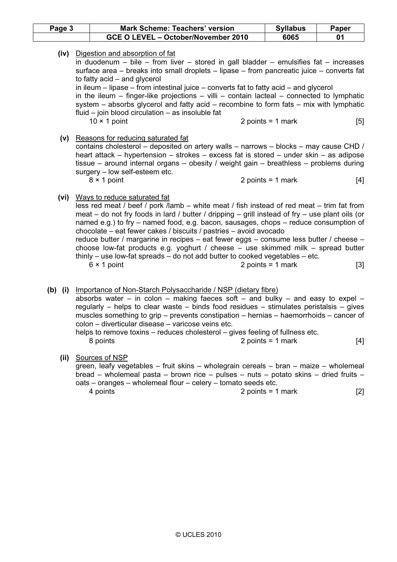| Page 3    |  | <b>Mark Scheme: Teachers' version</b>                                                                                                                                                                                                                                                                                                                                                                                                                                                                                                                                                                                                                                                    | <b>Syllabus</b>     | Paper |
|-----------|--|------------------------------------------------------------------------------------------------------------------------------------------------------------------------------------------------------------------------------------------------------------------------------------------------------------------------------------------------------------------------------------------------------------------------------------------------------------------------------------------------------------------------------------------------------------------------------------------------------------------------------------------------------------------------------------------|---------------------|-------|
|           |  | GCE O LEVEL - October/November 2010                                                                                                                                                                                                                                                                                                                                                                                                                                                                                                                                                                                                                                                      | 6065                | 01    |
| (iv)      |  | Digestion and absorption of fat<br>in duodenum - bile - from liver - stored in gall bladder - emulsifies fat - increases<br>surface area – breaks into small droplets – lipase – from pancreatic juice – converts fat<br>to fatty acid - and glycerol<br>in ileum $-$ lipase $-$ from intestinal juice $-$ converts fat to fatty acid $-$ and glycerol<br>in the ileum – finger-like projections – villi – contain lacteal – connected to lymphatic<br>system $-$ absorbs glycerol and fatty acid $-$ recombine to form fats $-$ mix with lymphatic<br>fluid $-$ join blood circulation $-$ as insoluble fat<br>$10 \times 1$ point                                                      | 2 points = $1$ mark | [5]   |
|           |  | (v) Reasons for reducing saturated fat<br>contains cholesterol – deposited on artery walls – narrows – blocks – may cause CHD /<br>heart attack – hypertension – strokes – excess fat is stored – under skin – as adipose<br>tissue – around internal organs – obesity / weight gain – breathless – problems during<br>surgery - low self-esteem etc.<br>$8 \times 1$ point                                                                                                                                                                                                                                                                                                              | 2 points = $1$ mark | [4]   |
|           |  | (vi) Ways to reduce saturated fat<br>less red meat / beef / pork /lamb – white meat / fish instead of red meat – trim fat from<br>meat – do not fry foods in lard / butter / dripping – grill instead of fry – use plant oils (or<br>named e.g.) to fry - named food, e.g. bacon, sausages, chops - reduce consumption of<br>chocolate – eat fewer cakes / biscuits / pastries – avoid avocado<br>reduce butter / margarine in recipes – eat fewer eggs – consume less butter / cheese –<br>choose low-fat products e.g. yoghurt / cheese - use skimmed milk - spread butter<br>thinly $-$ use low-fat spreads $-$ do not add butter to cooked vegetables $-$ etc.<br>$6 \times 1$ point | 2 points = $1$ mark | $[3]$ |
| $(b)$ (i) |  | Importance of Non-Starch Polysaccharide / NSP (dietary fibre)<br>absorbs water – in colon – making faeces soft – and bulky – and easy to expel –<br>regularly $-$ helps to clear waste $-$ binds food residues $-$ stimulates peristalsis $-$ gives<br>muscles something to grip – prevents constipation – hernias – haemorrhoids – cancer of<br>colon - diverticular disease - varicose veins etc.<br>helps to remove toxins – reduces cholesterol – gives feeling of fullness etc.<br>8 points                                                                                                                                                                                         | 2 points = $1$ mark | [4]   |
|           |  | (ii) Sources of NSP<br>green, leafy vegetables - fruit skins - wholegrain cereals - bran - maize - wholemeal                                                                                                                                                                                                                                                                                                                                                                                                                                                                                                                                                                             |                     |       |

bread – wholemeal pasta – brown rice – pulses – nuts – potato skins – dried fruits –

oats – oranges – wholemeal flour – celery – tomato seeds etc.<br>4 points = 1  $2 points = 1 mark$  [2]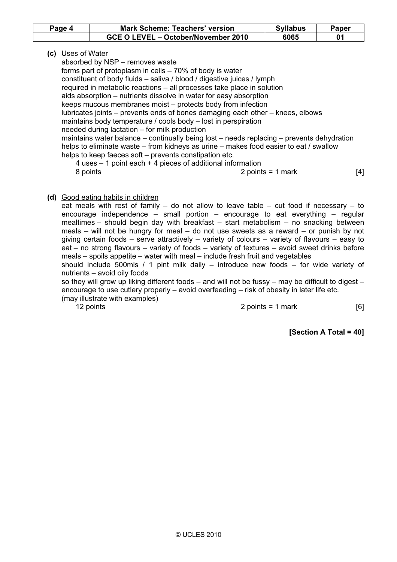| Page 4 | <b>Mark Scheme: Teachers' version</b> |      | Paper |
|--------|---------------------------------------|------|-------|
|        | GCE O LEVEL – October/November 2010   | 6065 |       |

# (c) Uses of Water

absorbed by NSP – removes waste

forms part of protoplasm in cells – 70% of body is water

constituent of body fluids – saliva / blood / digestive juices / lymph

required in metabolic reactions – all processes take place in solution

aids absorption – nutrients dissolve in water for easy absorption

keeps mucous membranes moist – protects body from infection

lubricates joints – prevents ends of bones damaging each other – knees, elbows

maintains body temperature / cools body – lost in perspiration

needed during lactation – for milk production

maintains water balance – continually being lost – needs replacing – prevents dehydration helps to eliminate waste – from kidneys as urine – makes food easier to eat / swallow helps to keep faeces soft – prevents constipation etc.

 4 uses – 1 point each + 4 pieces of additional information 8 points and 1 and 2 points = 1 mark 14 and 14 and 14 and 14 and 14 and 14 and 14 and 14 and 14 and 14 and 14 and 14 and 14 and 14 and 14 and 14 and 14 and 14 and 14 and 14 and 14 and 14 and 14 and 14 and 14 and 14 and 14

# (d) Good eating habits in children

eat meals with rest of family – do not allow to leave table – cut food if necessary – to encourage independence – small portion – encourage to eat everything – regular mealtimes – should begin day with breakfast – start metabolism – no snacking between meals – will not be hungry for meal – do not use sweets as a reward – or punish by not giving certain foods – serve attractively – variety of colours – variety of flavours – easy to eat – no strong flavours – variety of foods – variety of textures – avoid sweet drinks before meals – spoils appetite – water with meal – include fresh fruit and vegetables

should include 500mls / 1 pint milk daily – introduce new foods – for wide variety of nutrients – avoid oily foods

so they will grow up liking different foods – and will not be fussy – may be difficult to digest – encourage to use cutlery properly – avoid overfeeding – risk of obesity in later life etc. (may illustrate with examples)

# 12 points in the contract of the contract of the 2 points = 1 mark in the contract of the 161

[Section A Total = 40]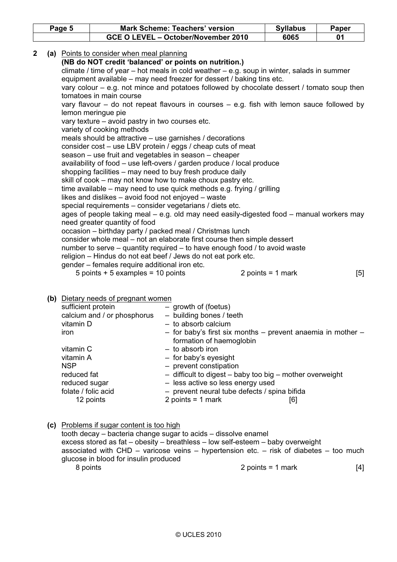|                                                                                               |                                                           |  | GCE O LEVEL - October/November 2010                                                                                     | 6065                | 01  |  |  |  |
|-----------------------------------------------------------------------------------------------|-----------------------------------------------------------|--|-------------------------------------------------------------------------------------------------------------------------|---------------------|-----|--|--|--|
|                                                                                               |                                                           |  |                                                                                                                         |                     |     |  |  |  |
|                                                                                               |                                                           |  |                                                                                                                         |                     |     |  |  |  |
|                                                                                               | (a) Points to consider when meal planning<br>$\mathbf{2}$ |  |                                                                                                                         |                     |     |  |  |  |
|                                                                                               |                                                           |  | (NB do NOT credit 'balanced' or points on nutrition.)                                                                   |                     |     |  |  |  |
|                                                                                               |                                                           |  | climate / time of year $-$ hot meals in cold weather $-$ e.g. soup in winter, salads in summer                          |                     |     |  |  |  |
|                                                                                               |                                                           |  | equipment available – may need freezer for dessert / baking tins etc.                                                   |                     |     |  |  |  |
|                                                                                               |                                                           |  | vary colour – e.g. not mince and potatoes followed by chocolate dessert / tomato soup then                              |                     |     |  |  |  |
|                                                                                               |                                                           |  | tomatoes in main course                                                                                                 |                     |     |  |  |  |
| vary flavour $-$ do not repeat flavours in courses $-$ e.g. fish with lemon sauce followed by |                                                           |  |                                                                                                                         |                     |     |  |  |  |
| lemon meringue pie<br>vary texture - avoid pastry in two courses etc.                         |                                                           |  |                                                                                                                         |                     |     |  |  |  |
|                                                                                               |                                                           |  |                                                                                                                         |                     |     |  |  |  |
|                                                                                               |                                                           |  | variety of cooking methods                                                                                              |                     |     |  |  |  |
|                                                                                               |                                                           |  | meals should be attractive - use garnishes / decorations                                                                |                     |     |  |  |  |
|                                                                                               |                                                           |  | consider cost – use LBV protein / eggs / cheap cuts of meat                                                             |                     |     |  |  |  |
|                                                                                               |                                                           |  | season – use fruit and vegetables in season – cheaper                                                                   |                     |     |  |  |  |
|                                                                                               |                                                           |  | availability of food - use left-overs / garden produce / local produce                                                  |                     |     |  |  |  |
|                                                                                               |                                                           |  | shopping facilities – may need to buy fresh produce daily<br>skill of cook – may not know how to make choux pastry etc. |                     |     |  |  |  |
|                                                                                               |                                                           |  | time available – may need to use quick methods e.g. frying / grilling                                                   |                     |     |  |  |  |
|                                                                                               |                                                           |  | likes and dislikes - avoid food not enjoyed - waste                                                                     |                     |     |  |  |  |
|                                                                                               |                                                           |  | special requirements - consider vegetarians / diets etc.                                                                |                     |     |  |  |  |
|                                                                                               |                                                           |  | ages of people taking meal – e.g. old may need easily-digested food – manual workers may                                |                     |     |  |  |  |
|                                                                                               |                                                           |  | need greater quantity of food                                                                                           |                     |     |  |  |  |
|                                                                                               |                                                           |  | occasion - birthday party / packed meal / Christmas lunch                                                               |                     |     |  |  |  |
|                                                                                               |                                                           |  | consider whole meal - not an elaborate first course then simple dessert                                                 |                     |     |  |  |  |
|                                                                                               |                                                           |  | number to serve – quantity required – to have enough food / to avoid waste                                              |                     |     |  |  |  |
|                                                                                               |                                                           |  | religion - Hindus do not eat beef / Jews do not eat pork etc.                                                           |                     |     |  |  |  |
|                                                                                               |                                                           |  | gender - females require additional iron etc.                                                                           |                     |     |  |  |  |
|                                                                                               |                                                           |  | 5 points $+$ 5 examples = 10 points                                                                                     | 2 points = $1$ mark |     |  |  |  |
|                                                                                               |                                                           |  |                                                                                                                         |                     | [5] |  |  |  |

| sufficient protein          | - growth of (foetus)                                           |  |
|-----------------------------|----------------------------------------------------------------|--|
| calcium and / or phosphorus | - building bones / teeth                                       |  |
| vitamin D                   | $-$ to absorb calcium                                          |  |
| iron                        | - for baby's first six months - prevent anaemia in mother -    |  |
|                             | formation of haemoglobin                                       |  |
| vitamin C                   | - to absorb iron                                               |  |
| vitamin A                   | - for baby's eyesight                                          |  |
| <b>NSP</b>                  | - prevent constipation                                         |  |
| reduced fat                 | $-$ difficult to digest $-$ baby too big $-$ mother overweight |  |
| reduced sugar               | - less active so less energy used                              |  |
| folate / folic acid         | - prevent neural tube defects / spina bifida                   |  |
| 12 points                   | 2 points = $1$ mark<br>[6]                                     |  |

(c) Problems if sugar content is too high

| tooth decay – bacteria change sugar to acids – dissolve enamel                  |                                                                                                |     |
|---------------------------------------------------------------------------------|------------------------------------------------------------------------------------------------|-----|
| excess stored as fat – obesity – breathless – low self-esteem – baby overweight |                                                                                                |     |
|                                                                                 | associated with $CHD -$ varicose veins $-$ hypertension etc. $-$ risk of diabetes $-$ too much |     |
| glucose in blood for insulin produced                                           |                                                                                                |     |
| 8 points                                                                        | 2 points = 1 mark                                                                              | [4] |
|                                                                                 |                                                                                                |     |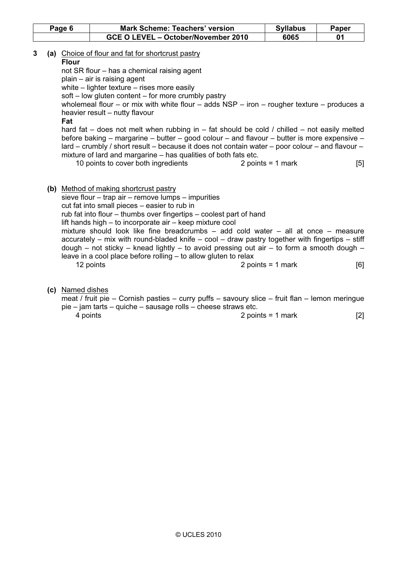|                          | Page 6 |                  | <b>Mark Scheme: Teachers' version</b>                                                                                                                                                                                                                                                                                                                                                                                                                                                                                                                                                                                                                                                                                                                                                      | <b>Syllabus</b>                                                                                                                                                                                                                | Paper      |
|--------------------------|--------|------------------|--------------------------------------------------------------------------------------------------------------------------------------------------------------------------------------------------------------------------------------------------------------------------------------------------------------------------------------------------------------------------------------------------------------------------------------------------------------------------------------------------------------------------------------------------------------------------------------------------------------------------------------------------------------------------------------------------------------------------------------------------------------------------------------------|--------------------------------------------------------------------------------------------------------------------------------------------------------------------------------------------------------------------------------|------------|
|                          |        |                  | GCE O LEVEL - October/November 2010                                                                                                                                                                                                                                                                                                                                                                                                                                                                                                                                                                                                                                                                                                                                                        | 6065                                                                                                                                                                                                                           | 01         |
| 3<br><b>Flour</b><br>Fat |        |                  | (a) Choice of flour and fat for shortcrust pastry<br>not SR flour – has a chemical raising agent<br>$plain - air$ is raising agent<br>white $-$ lighter texture $-$ rises more easily<br>soft – low gluten content – for more crumbly pastry<br>wholemeal flour - or mix with white flour - adds $NSP - i$ ron - rougher texture - produces a<br>heavier result - nutty flavour<br>hard fat - does not melt when rubbing in - fat should be cold / chilled - not easily melted<br>before baking – margarine – butter – good colour – and flavour – butter is more expensive –<br>lard – crumbly / short result – because it does not contain water – poor colour – and flavour –<br>mixture of lard and margarine - has qualities of both fats etc.<br>10 points to cover both ingredients | 2 points = $1$ mark                                                                                                                                                                                                            | [5]        |
|                          |        |                  | (b) Method of making shortcrust pastry<br>sieve flour $-$ trap air $-$ remove lumps $-$ impurities<br>cut fat into small pieces – easier to rub in<br>rub fat into flour – thumbs over fingertips – coolest part of hand<br>lift hands high – to incorporate air – keep mixture cool<br>mixture should look like fine breadcrumbs - add cold water - all at once - measure<br>accurately – mix with round-bladed knife – cool – draw pastry together with fingertips – stiff<br>$d$ ough – not sticky – knead lightly – to avoid pressing out air – to form a smooth dough –<br>leave in a cool place before rolling – to allow gluten to relax<br>12 points                                                                                                                               | 2 points = $1$ mark                                                                                                                                                                                                            | [6]        |
|                          |        | (c) Named dishes | meat / fruit pie – Cornish pasties – curry puffs – savoury slice – fruit flan – lemon meringue<br>pie – jam tarts – quiche – sausage rolls – cheese straws etc.                                                                                                                                                                                                                                                                                                                                                                                                                                                                                                                                                                                                                            | the problem in the second control of the second control of the second control of the second control of the second control of the second control of the second control of the second control of the second control of the secon | <b>LOJ</b> |

4 points 1 mark 2 points = 1 mark [2]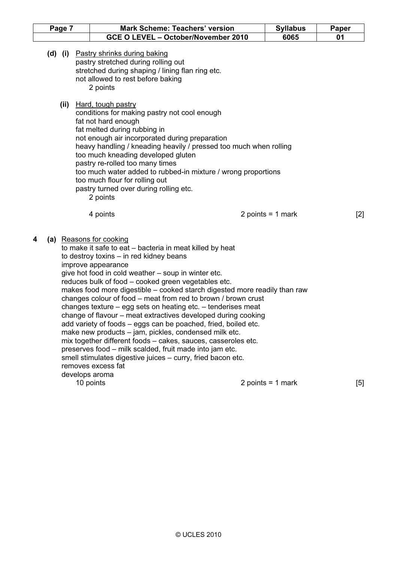| Page 7 |  | <b>Mark Scheme: Teachers' version</b>                                                                                                                                                                                                                                                                                                                                                                                                                                                                                                                                                                                                                                                                                                                                                                                                                                                         |  | <b>Syllabus</b>     | Paper |  |
|--------|--|-----------------------------------------------------------------------------------------------------------------------------------------------------------------------------------------------------------------------------------------------------------------------------------------------------------------------------------------------------------------------------------------------------------------------------------------------------------------------------------------------------------------------------------------------------------------------------------------------------------------------------------------------------------------------------------------------------------------------------------------------------------------------------------------------------------------------------------------------------------------------------------------------|--|---------------------|-------|--|
|        |  | GCE O LEVEL - October/November 2010                                                                                                                                                                                                                                                                                                                                                                                                                                                                                                                                                                                                                                                                                                                                                                                                                                                           |  | 6065                | 01    |  |
|        |  | (d) (i) Pastry shrinks during baking<br>pastry stretched during rolling out<br>stretched during shaping / lining flan ring etc.<br>not allowed to rest before baking<br>2 points                                                                                                                                                                                                                                                                                                                                                                                                                                                                                                                                                                                                                                                                                                              |  |                     |       |  |
|        |  | (ii) Hard, tough pastry<br>conditions for making pastry not cool enough<br>fat not hard enough<br>fat melted during rubbing in<br>not enough air incorporated during preparation<br>heavy handling / kneading heavily / pressed too much when rolling<br>too much kneading developed gluten<br>pastry re-rolled too many times<br>too much water added to rubbed-in mixture / wrong proportions<br>too much flour for rolling out<br>pastry turned over during rolling etc.<br>2 points                                                                                                                                                                                                                                                                                                                                                                                                       |  |                     |       |  |
|        |  | 4 points                                                                                                                                                                                                                                                                                                                                                                                                                                                                                                                                                                                                                                                                                                                                                                                                                                                                                      |  | 2 points = $1$ mark | [2]   |  |
| 4      |  | (a) Reasons for cooking<br>to make it safe to eat - bacteria in meat killed by heat<br>to destroy toxins - in red kidney beans<br>improve appearance<br>give hot food in cold weather – soup in winter etc.<br>reduces bulk of food - cooked green vegetables etc.<br>makes food more digestible - cooked starch digested more readily than raw<br>changes colour of food – meat from red to brown / brown crust<br>changes texture – egg sets on heating etc. – tenderises meat<br>change of flavour - meat extractives developed during cooking<br>add variety of foods – eggs can be poached, fried, boiled etc.<br>make new products - jam, pickles, condensed milk etc.<br>mix together different foods - cakes, sauces, casseroles etc.<br>preserves food - milk scalded, fruit made into jam etc.<br>smell stimulates digestive juices - curry, fried bacon etc.<br>removes excess fat |  |                     |       |  |
|        |  | develops aroma<br>10 points                                                                                                                                                                                                                                                                                                                                                                                                                                                                                                                                                                                                                                                                                                                                                                                                                                                                   |  | 2 points = $1$ mark | [5]   |  |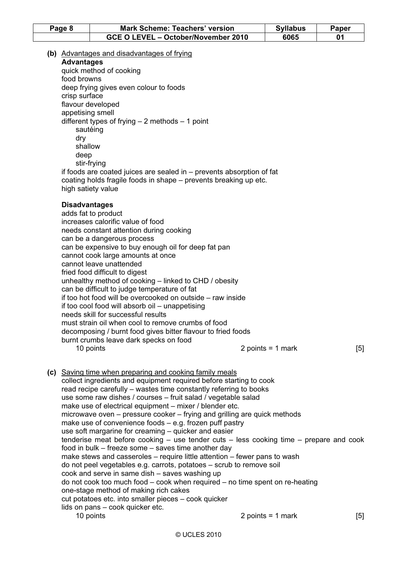| Page 8 | <b>Mark Scheme: Teachers' version</b> | <b>Syllabus</b> | Paper |
|--------|---------------------------------------|-----------------|-------|
|        | GCE O LEVEL - October/November 2010   | 6065            |       |

(b) Advantages and disadvantages of frying

Advantages

quick method of cooking food browns deep frying gives even colour to foods crisp surface flavour developed appetising smell different types of frying – 2 methods – 1 point sautéing dry shallow deep stir-frying if foods are coated juices are sealed in – prevents absorption of fat coating holds fragile foods in shape – prevents breaking up etc. high satiety value

#### **Disadvantages**

| adds fat to product                                          |                   |     |
|--------------------------------------------------------------|-------------------|-----|
| increases calorific value of food                            |                   |     |
| needs constant attention during cooking                      |                   |     |
| can be a dangerous process                                   |                   |     |
| can be expensive to buy enough oil for deep fat pan          |                   |     |
| cannot cook large amounts at once                            |                   |     |
| cannot leave unattended                                      |                   |     |
| fried food difficult to digest                               |                   |     |
| unhealthy method of cooking – linked to CHD / obesity        |                   |     |
| can be difficult to judge temperature of fat                 |                   |     |
| if too hot food will be overcooked on outside – raw inside   |                   |     |
| if too cool food will absorb oil – unappetising              |                   |     |
| needs skill for successful results                           |                   |     |
| must strain oil when cool to remove crumbs of food           |                   |     |
| decomposing / burnt food gives bitter flavour to fried foods |                   |     |
| burnt crumbs leave dark specks on food                       |                   |     |
| 10 points                                                    | 2 points = 1 mark | [5] |
|                                                              |                   |     |

 (c) Saving time when preparing and cooking family meals collect ingredients and equipment required before starting to cook read recipe carefully – wastes time constantly referring to books use some raw dishes / courses – fruit salad / vegetable salad make use of electrical equipment – mixer / blender etc. microwave oven – pressure cooker – frying and grilling are quick methods make use of convenience foods – e.g. frozen puff pastry use soft margarine for creaming – quicker and easier tenderise meat before cooking – use tender cuts – less cooking time – prepare and cook food in bulk – freeze some – saves time another day make stews and casseroles – require little attention – fewer pans to wash do not peel vegetables e.g. carrots, potatoes – scrub to remove soil cook and serve in same dish – saves washing up do not cook too much food – cook when required – no time spent on re-heating one-stage method of making rich cakes cut potatoes etc. into smaller pieces – cook quicker lids on pans – cook quicker etc. 10 points 2 points = 1 mark [5]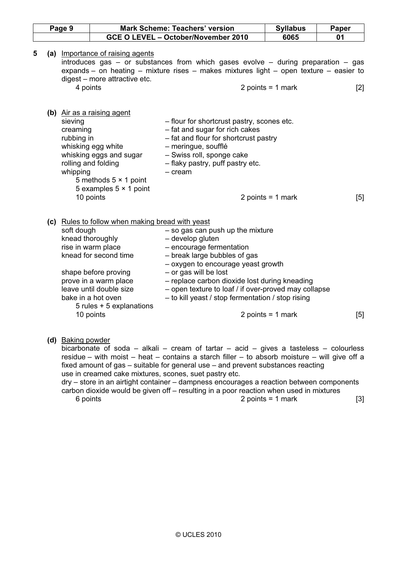| Page 9 |  |                                               |                                                                                                                                                                                                                                                                | <b>Mark Scheme: Teachers' version</b>                                                                                                                                                                                                                                                                                                         | <b>Syllabus</b>     | Paper |
|--------|--|-----------------------------------------------|----------------------------------------------------------------------------------------------------------------------------------------------------------------------------------------------------------------------------------------------------------------|-----------------------------------------------------------------------------------------------------------------------------------------------------------------------------------------------------------------------------------------------------------------------------------------------------------------------------------------------|---------------------|-------|
|        |  |                                               |                                                                                                                                                                                                                                                                | GCE O LEVEL - October/November 2010                                                                                                                                                                                                                                                                                                           | 6065                | 01    |
| 5      |  |                                               | (a) Importance of raising agents<br>digest - more attractive etc.                                                                                                                                                                                              | introduces gas $-$ or substances from which gases evolve $-$ during preparation $-$ gas<br>expands – on heating – mixture rises – makes mixtures light – open texture – easier to                                                                                                                                                             |                     |       |
|        |  | 4 points                                      |                                                                                                                                                                                                                                                                |                                                                                                                                                                                                                                                                                                                                               | 2 points = $1$ mark | $[2]$ |
|        |  | sieving<br>creaming<br>rubbing in<br>whipping | (b) Air as a raising agent<br>whisking egg white<br>whisking eggs and sugar<br>rolling and folding<br>5 methods $5 \times 1$ point<br>5 examples $5 \times 1$ point                                                                                            | - flour for shortcrust pastry, scones etc.<br>- fat and sugar for rich cakes<br>- fat and flour for shortcrust pastry<br>- meringue, soufflé<br>- Swiss roll, sponge cake<br>- flaky pastry, puff pastry etc.<br>$-$ cream                                                                                                                    |                     |       |
|        |  |                                               | 10 points                                                                                                                                                                                                                                                      |                                                                                                                                                                                                                                                                                                                                               | 2 points = $1$ mark | [5]   |
|        |  | soft dough                                    | (c) Rules to follow when making bread with yeast<br>knead thoroughly<br>rise in warm place<br>knead for second time<br>shape before proving<br>prove in a warm place<br>leave until double size<br>bake in a hot oven<br>5 rules + 5 explanations<br>10 points | - so gas can push up the mixture<br>- develop gluten<br>- encourage fermentation<br>- break large bubbles of gas<br>- oxygen to encourage yeast growth<br>- or gas will be lost<br>- replace carbon dioxide lost during kneading<br>- open texture to loaf / if over-proved may collapse<br>- to kill yeast / stop fermentation / stop rising | 2 points = $1$ mark | [5]   |
|        |  | ويخالف والمتحدث والمستبرات فالمستطيع          |                                                                                                                                                                                                                                                                |                                                                                                                                                                                                                                                                                                                                               |                     |       |

#### (d) Baking powder

bicarbonate of soda – alkali – cream of tartar – acid – gives a tasteless – colourless residue – with moist – heat – contains a starch filler – to absorb moisture – will give off a fixed amount of gas – suitable for general use – and prevent substances reacting use in creamed cake mixtures, scones, suet pastry etc.

dry – store in an airtight container – dampness encourages a reaction between components carbon dioxide would be given off – resulting in a poor reaction when used in mixtures  $6 \text{ points} = 1 \text{ mark}$  [3]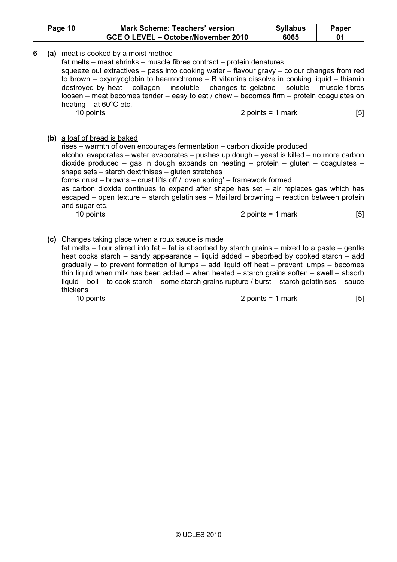| Page 10 | <b>Mark Scheme: Teachers' version</b> | <b>Syllabus</b> | <b>Paper</b> |
|---------|---------------------------------------|-----------------|--------------|
|         | GCE O LEVEL - October/November 2010   | 6065            |              |

6 (a) meat is cooked by a moist method

fat melts – meat shrinks – muscle fibres contract – protein denatures

squeeze out extractives – pass into cooking water – flavour gravy – colour changes from red to brown – oxymyoglobin to haemochrome – B vitamins dissolve in cooking liquid – thiamin destroyed by heat – collagen – insoluble – changes to gelatine – soluble – muscle fibres loosen – meat becomes tender – easy to eat / chew – becomes firm – protein coagulates on heating  $-$  at 60 $^{\circ}$ C etc.

10 points 2 points = 1 mark [5]

## (b) a loaf of bread is baked

rises – warmth of oven encourages fermentation – carbon dioxide produced alcohol evaporates – water evaporates – pushes up dough – yeast is killed – no more carbon dioxide produced – gas in dough expands on heating – protein – gluten – coagulates – shape sets – starch dextrinises – gluten stretches forms crust – browns – crust lifts off / 'oven spring' – framework formed as carbon dioxide continues to expand after shape has set – air replaces gas which has escaped – open texture – starch gelatinises – Maillard browning – reaction between protein and sugar etc.

10 points 2 points = 1 mark [5]

## (c) Changes taking place when a roux sauce is made

fat melts – flour stirred into fat – fat is absorbed by starch grains – mixed to a paste – gentle heat cooks starch – sandy appearance – liquid added – absorbed by cooked starch – add gradually – to prevent formation of lumps – add liquid off heat – prevent lumps – becomes thin liquid when milk has been added – when heated – starch grains soften – swell – absorb liquid – boil – to cook starch – some starch grains rupture / burst – starch gelatinises – sauce thickens

10 points 10 points 1 mark **10** points = 1 mark **[5]**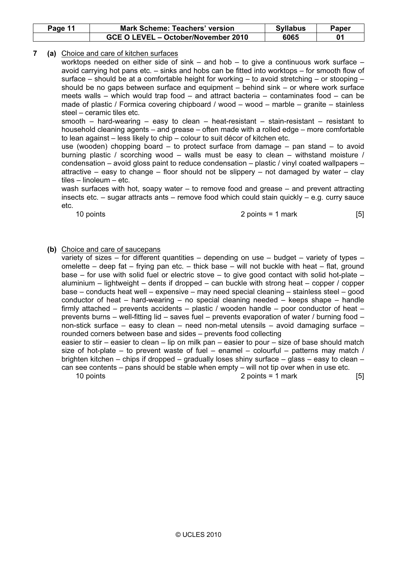| Page 11 | <b>Mark Scheme: Teachers' version</b> | <b>Syllabus</b> | Paper |
|---------|---------------------------------------|-----------------|-------|
|         | GCE O LEVEL - October/November 2010   | 6065            |       |

# 7 (a) Choice and care of kitchen surfaces

worktops needed on either side of sink – and hob – to give a continuous work surface – avoid carrying hot pans etc. – sinks and hobs can be fitted into worktops – for smooth flow of surface – should be at a comfortable height for working – to avoid stretching – or stooping – should be no gaps between surface and equipment – behind sink – or where work surface meets walls – which would trap food – and attract bacteria – contaminates food – can be made of plastic / Formica covering chipboard / wood – wood – marble – granite – stainless steel – ceramic tiles etc.

smooth – hard-wearing – easy to clean – heat-resistant – stain-resistant – resistant to household cleaning agents – and grease – often made with a rolled edge – more comfortable to lean against – less likely to chip – colour to suit décor of kitchen etc.

use (wooden) chopping board – to protect surface from damage – pan stand – to avoid burning plastic / scorching wood – walls must be easy to clean – withstand moisture / condensation – avoid gloss paint to reduce condensation – plastic / vinyl coated wallpapers – attractive – easy to change – floor should not be slippery – not damaged by water – clay tiles – linoleum – etc.

wash surfaces with hot, soapy water – to remove food and grease – and prevent attracting insects etc. – sugar attracts ants – remove food which could stain quickly – e.g. curry sauce etc.

#### 10 points 2 points = 1 mark [5]

#### (b) Choice and care of saucepans

variety of sizes – for different quantities – depending on use – budget – variety of types – omelette – deep fat – frying pan etc. – thick base – will not buckle with heat – flat, ground base – for use with solid fuel or electric stove – to give good contact with solid hot-plate – aluminium – lightweight – dents if dropped – can buckle with strong heat – copper / copper base – conducts heat well – expensive – may need special cleaning – stainless steel – good conductor of heat – hard-wearing – no special cleaning needed – keeps shape – handle firmly attached – prevents accidents – plastic / wooden handle – poor conductor of heat – prevents burns – well-fitting lid – saves fuel – prevents evaporation of water / burning food – non-stick surface – easy to clean – need non-metal utensils – avoid damaging surface – rounded corners between base and sides – prevents food collecting easier to stir – easier to clean – lip on milk pan – easier to pour – size of base should match size of hot-plate – to prevent waste of fuel – enamel – colourful – patterns may match / brighten kitchen – chips if dropped – gradually loses shiny surface – glass – easy to clean – can see contents – pans should be stable when empty – will not tip over when in use etc. 10 points 2 points = 1 mark [5]